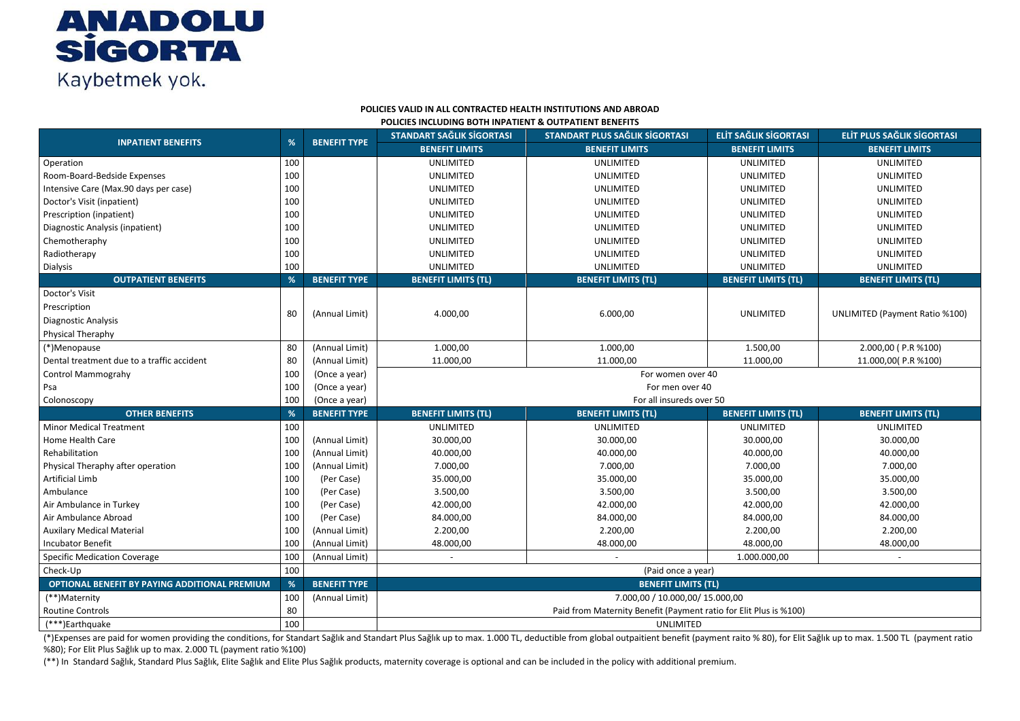#### **POLICIES VALID IN ALL CONTRACTED HEALTH INSTITUTIONS AND ABROAD POLICIES INCLUDING BOTH INPATIENT & OUTPATIENT BENEFITS**

|                                               |     | <b>BENEFIT TYPE</b> | <b>STANDART SAĞLIK SİGORTASI</b><br><b>ELIT PLUS SAĞLIK SİGORTASI</b><br><b>STANDART PLUS SAĞLIK SİGORTASI</b><br>ELİT SAĞLIK SİGORTASI |                                  |                            |                                       |  |
|-----------------------------------------------|-----|---------------------|-----------------------------------------------------------------------------------------------------------------------------------------|----------------------------------|----------------------------|---------------------------------------|--|
| <b>INPATIENT BENEFITS</b>                     | %   |                     | <b>BENEFIT LIMITS</b>                                                                                                                   | <b>BENEFIT LIMITS</b>            | <b>BENEFIT LIMITS</b>      | <b>BENEFIT LIMITS</b>                 |  |
| Operation                                     | 100 |                     | <b>UNLIMITED</b>                                                                                                                        | <b>UNLIMITED</b>                 | <b>UNLIMITED</b>           | <b>UNLIMITED</b>                      |  |
| Room-Board-Bedside Expenses                   | 100 |                     | UNLIMITED                                                                                                                               | <b>UNLIMITED</b>                 | UNLIMITED                  | <b>UNLIMITED</b>                      |  |
| Intensive Care (Max.90 days per case)         | 100 |                     | <b>UNLIMITED</b>                                                                                                                        | <b>UNLIMITED</b>                 | <b>UNLIMITED</b>           | <b>UNLIMITED</b>                      |  |
| Doctor's Visit (inpatient)                    | 100 |                     | <b>UNLIMITED</b>                                                                                                                        | <b>UNLIMITED</b>                 | <b>UNLIMITED</b>           | <b>UNLIMITED</b>                      |  |
| Prescription (inpatient)                      | 100 |                     | <b>UNLIMITED</b>                                                                                                                        | UNLIMITED                        | <b>UNLIMITED</b>           | <b>UNLIMITED</b>                      |  |
| Diagnostic Analysis (inpatient)               | 100 |                     | UNLIMITED                                                                                                                               | UNLIMITED                        | UNLIMITED                  | UNLIMITED                             |  |
| Chemotheraphy                                 | 100 |                     | UNLIMITED                                                                                                                               | <b>UNLIMITED</b>                 | UNLIMITED                  | UNLIMITED                             |  |
| Radiotherapy                                  | 100 |                     | <b>UNLIMITED</b>                                                                                                                        | <b>UNLIMITED</b>                 | <b>UNLIMITED</b>           | <b>UNLIMITED</b>                      |  |
| Dialysis                                      | 100 |                     | UNLIMITED                                                                                                                               | <b>UNLIMITED</b>                 | UNLIMITED                  | <b>UNLIMITED</b>                      |  |
| <b>OUTPATIENT BENEFITS</b>                    | %   | <b>BENEFIT TYPE</b> | <b>BENEFIT LIMITS (TL)</b>                                                                                                              | <b>BENEFIT LIMITS (TL)</b>       | <b>BENEFIT LIMITS (TL)</b> | <b>BENEFIT LIMITS (TL)</b>            |  |
| Doctor's Visit                                |     |                     |                                                                                                                                         |                                  |                            |                                       |  |
| Prescription                                  |     | (Annual Limit)      |                                                                                                                                         | 6.000,00                         | <b>UNLIMITED</b>           | <b>UNLIMITED (Payment Ratio %100)</b> |  |
| Diagnostic Analysis                           | 80  |                     | 4.000,00                                                                                                                                |                                  |                            |                                       |  |
| Physical Theraphy                             |     |                     |                                                                                                                                         |                                  |                            |                                       |  |
| (*)Menopause                                  | 80  | (Annual Limit)      | 1.000,00                                                                                                                                | 1.000,00                         | 1.500,00                   | 2.000,00 (P.R %100)                   |  |
| Dental treatment due to a traffic accident    | 80  | (Annual Limit)      | 11.000,00                                                                                                                               | 11.000,00                        | 11.000,00                  | 11.000,00(P.R%100)                    |  |
| <b>Control Mammograhy</b>                     | 100 | (Once a year)       | For women over 40                                                                                                                       |                                  |                            |                                       |  |
| Psa                                           | 100 | (Once a year)       | For men over 40                                                                                                                         |                                  |                            |                                       |  |
| Colonoscopy                                   | 100 | (Once a year)       |                                                                                                                                         | For all insureds over 50         |                            |                                       |  |
| <b>OTHER BENEFITS</b>                         | %   | <b>BENEFIT TYPE</b> | <b>BENEFIT LIMITS (TL)</b>                                                                                                              | <b>BENEFIT LIMITS (TL)</b>       | <b>BENEFIT LIMITS (TL)</b> | <b>BENEFIT LIMITS (TL)</b>            |  |
| Minor Medical Treatment                       | 100 |                     | <b>UNLIMITED</b>                                                                                                                        | <b>UNLIMITED</b>                 | <b>UNLIMITED</b>           | <b>UNLIMITED</b>                      |  |
| Home Health Care                              | 100 | (Annual Limit)      | 30.000,00                                                                                                                               | 30.000,00                        | 30.000,00                  | 30.000,00                             |  |
| Rehabilitation                                | 100 | (Annual Limit)      | 40.000,00                                                                                                                               | 40.000,00                        | 40.000,00                  | 40.000,00                             |  |
| Physical Theraphy after operation             | 100 | (Annual Limit)      | 7.000,00                                                                                                                                | 7.000,00                         | 7.000,00                   | 7.000,00                              |  |
| <b>Artificial Limb</b>                        | 100 | (Per Case)          | 35.000,00                                                                                                                               | 35.000,00                        | 35.000,00                  | 35.000,00                             |  |
| Ambulance                                     | 100 | (Per Case)          | 3.500,00                                                                                                                                | 3.500,00                         | 3.500,00                   | 3.500,00                              |  |
| Air Ambulance in Turkey                       | 100 | (Per Case)          | 42.000,00                                                                                                                               | 42.000,00                        | 42.000,00                  | 42.000,00                             |  |
| Air Ambulance Abroad                          | 100 | (Per Case)          | 84.000,00                                                                                                                               | 84.000,00                        | 84.000,00                  | 84.000,00                             |  |
| <b>Auxilary Medical Material</b>              | 100 | (Annual Limit)      | 2.200,00                                                                                                                                | 2.200,00                         | 2.200,00                   | 2.200,00                              |  |
| <b>Incubator Benefit</b>                      | 100 | (Annual Limit)      | 48.000,00                                                                                                                               | 48.000,00                        | 48.000,00                  | 48.000,00                             |  |
| <b>Specific Medication Coverage</b>           | 100 | (Annual Limit)      | $\blacksquare$                                                                                                                          | 1.000.000,00<br>$\blacksquare$   |                            |                                       |  |
| Check-Up                                      | 100 |                     | (Paid once a year)                                                                                                                      |                                  |                            |                                       |  |
| OPTIONAL BENEFIT BY PAYING ADDITIONAL PREMIUM | %   | <b>BENEFIT TYPE</b> |                                                                                                                                         | <b>BENEFIT LIMITS (TL)</b>       |                            |                                       |  |
| (**)Maternity                                 | 100 | (Annual Limit)      |                                                                                                                                         | 7.000,00 / 10.000,00 / 15.000,00 |                            |                                       |  |
| <b>Routine Controls</b>                       | 80  |                     | Paid from Maternity Benefit (Payment ratio for Elit Plus is %100)                                                                       |                                  |                            |                                       |  |
| (***)Earthquake                               | 100 |                     | <b>UNLIMITED</b>                                                                                                                        |                                  |                            |                                       |  |

(\*) Expenses are paid for women providing the conditions, for Standart Sağlık and Standart Plus Sağlık up to max. 1.000 TL, deductible from global outpaitient benefit (payment raito % 80), for Elit Sağlık up to max. 1.500 %80); For Elit Plus Sağlık up to max. 2.000 TL (payment ratio %100)

(\*\*) In Standard Sağlık, Standard Plus Sağlık, Elite Sağlık and Elite Plus Sağlık products, maternity coverage is optional and can be included in the policy with additional premium.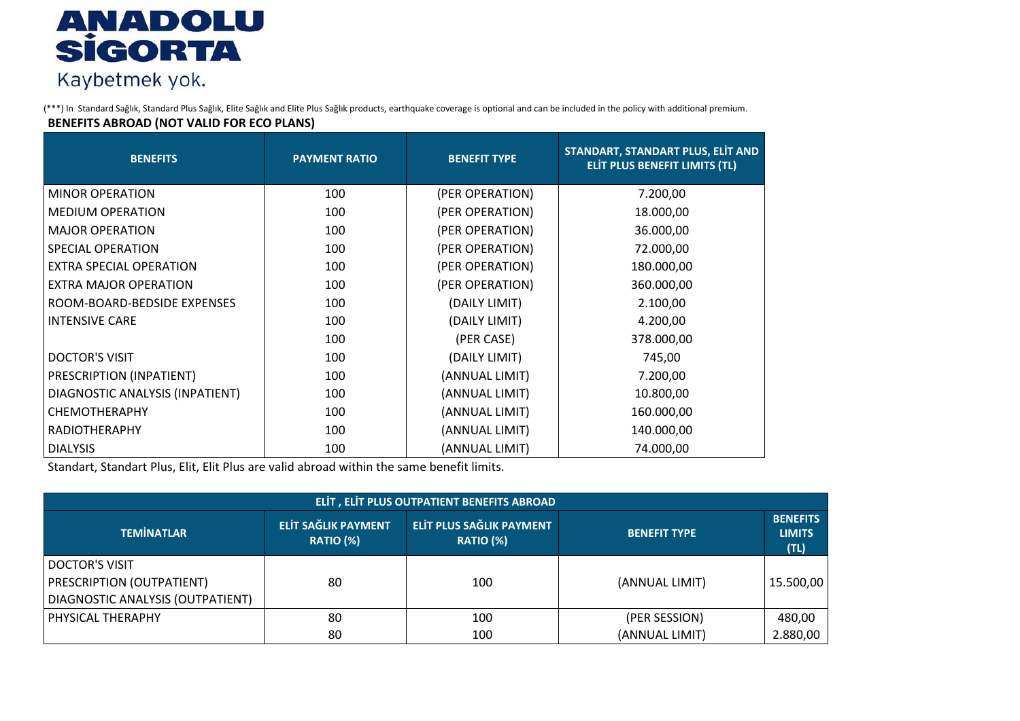(\*\*\*) In Standard Sağlık, Standard Plus Sağlık, Elite Sağlık and Elite Plus Sağlık products, earthquake coverage is optional and can be included in the policy with additional premium. **BENEFITS ABROAD (NOT VALID FOR ECO PLANS)**

| <b>BENEFITS</b>                 | <b>PAYMENT RATIO</b> | <b>BENEFIT TYPE</b> | STANDART, STANDART PLUS, ELIT AND<br>ELIT PLUS BENEFIT LIMITS (TL) |
|---------------------------------|----------------------|---------------------|--------------------------------------------------------------------|
| <b>MINOR OPERATION</b>          | 100                  | (PER OPERATION)     | 7.200,00                                                           |
| <b>MEDIUM OPERATION</b>         | 100                  | (PER OPERATION)     | 18.000,00                                                          |
| <b>MAJOR OPERATION</b>          | 100                  | (PER OPERATION)     | 36.000,00                                                          |
| SPECIAL OPERATION               | 100                  | (PER OPERATION)     | 72.000,00                                                          |
| <b>EXTRA SPECIAL OPERATION</b>  | 100                  | (PER OPERATION)     | 180.000,00                                                         |
| EXTRA MAJOR OPERATION           | 100                  | (PER OPERATION)     | 360.000,00                                                         |
| ROOM-BOARD-BEDSIDE EXPENSES     | 100                  | (DAILY LIMIT)       | 2.100,00                                                           |
| <b>INTENSIVE CARE</b>           | 100                  | (DAILY LIMIT)       | 4.200,00                                                           |
|                                 | 100                  | (PER CASE)          | 378.000,00                                                         |
| <b>DOCTOR'S VISIT</b>           | 100                  | (DAILY LIMIT)       | 745,00                                                             |
| PRESCRIPTION (INPATIENT)        | 100                  | (ANNUAL LIMIT)      | 7.200,00                                                           |
| DIAGNOSTIC ANALYSIS (INPATIENT) | 100                  | (ANNUAL LIMIT)      | 10.800,00                                                          |
| <b>CHEMOTHERAPHY</b>            | 100                  | (ANNUAL LIMIT)      | 160.000,00                                                         |
| <b>RADIOTHERAPHY</b>            | 100                  | (ANNUAL LIMIT)      | 140.000,00                                                         |
| <b>DIALYSIS</b>                 | 100                  | (ANNUAL LIMIT)      | 74.000,00                                                          |

Standart, Standart Plus, Elit, Elit Plus are valid abroad within the same benefit limits.

| ELIT, ELIT PLUS OUTPATIENT BENEFITS ABROAD                                                    |                                         |                                              |                     |                                          |  |  |  |  |
|-----------------------------------------------------------------------------------------------|-----------------------------------------|----------------------------------------------|---------------------|------------------------------------------|--|--|--|--|
| <b>TEMINATLAR</b>                                                                             | ELİT SAĞLIK PAYMENT<br><b>RATIO (%)</b> | ELİT PLUS SAĞLIK PAYMENT<br><b>RATIO (%)</b> | <b>BENEFIT TYPE</b> | <b>BENEFITS</b><br><b>LIMITS</b><br>(TL) |  |  |  |  |
| <b>DOCTOR'S VISIT</b><br><b>PRESCRIPTION (OUTPATIENT)</b><br>DIAGNOSTIC ANALYSIS (OUTPATIENT) | 80                                      | 100                                          | (ANNUAL LIMIT)      | 15.500,00                                |  |  |  |  |
| PHYSICAL THERAPHY                                                                             | 80                                      | 100                                          | (PER SESSION)       | 480,00                                   |  |  |  |  |
|                                                                                               | 80                                      | 100                                          | (ANNUAL LIMIT)      | 2.880,00                                 |  |  |  |  |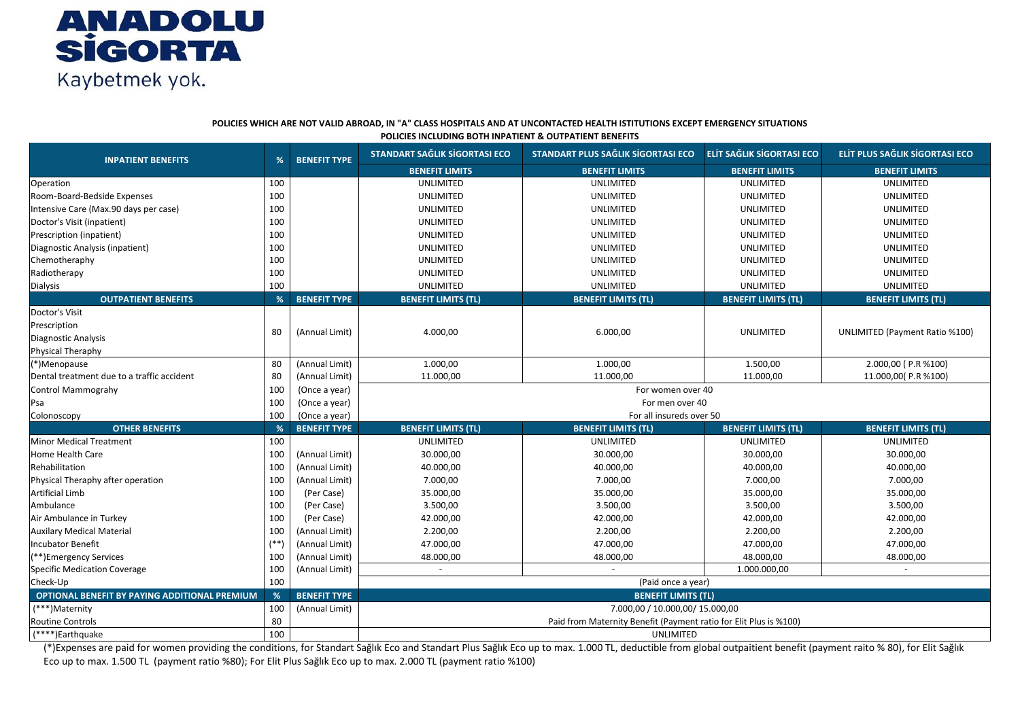**POLICIES WHICH ARE NOT VALID ABROAD, IN "A" CLASS HOSPITALS AND AT UNCONTACTED HEALTH ISTITUTIONS EXCEPT EMERGENCY SITUATIONS POLICIES INCLUDING BOTH INPATIENT & OUTPATIENT BENEFITS**

| <b>INPATIENT BENEFITS</b>                     | %        | <b>BENEFIT TYPE</b> | STANDART SAĞLIK SİGORTASI ECO                                     | STANDART PLUS SAĞLIK SİGORTASI ECO | <b>ELIT SAĞLIK SIGORTASI ECO</b> | ELİT PLUS SAĞLIK SİGORTASI ECO        |  |  |
|-----------------------------------------------|----------|---------------------|-------------------------------------------------------------------|------------------------------------|----------------------------------|---------------------------------------|--|--|
|                                               |          |                     | <b>BENEFIT LIMITS</b>                                             | <b>BENEFIT LIMITS</b>              | <b>BENEFIT LIMITS</b>            | <b>BENEFIT LIMITS</b>                 |  |  |
| Operation                                     | 100      |                     | <b>UNLIMITED</b>                                                  | UNLIMITED                          | <b>UNLIMITED</b>                 | UNLIMITED                             |  |  |
| Room-Board-Bedside Expenses                   | 100      |                     | <b>UNLIMITED</b>                                                  | <b>UNLIMITED</b>                   | <b>UNLIMITED</b>                 | UNLIMITED                             |  |  |
| Intensive Care (Max.90 days per case)         | 100      |                     | <b>UNLIMITED</b>                                                  | UNLIMITED                          | <b>UNLIMITED</b>                 | <b>UNLIMITED</b>                      |  |  |
| Doctor's Visit (inpatient)                    | 100      |                     | <b>UNLIMITED</b>                                                  | UNLIMITED                          | <b>UNLIMITED</b>                 | UNLIMITED                             |  |  |
| Prescription (inpatient)                      | 100      |                     | <b>UNLIMITED</b>                                                  | UNLIMITED                          | <b>UNLIMITED</b>                 | <b>UNLIMITED</b>                      |  |  |
| Diagnostic Analysis (inpatient)               | 100      |                     | <b>UNLIMITED</b>                                                  | UNLIMITED                          | <b>UNLIMITED</b>                 | UNLIMITED                             |  |  |
| Chemotheraphy                                 | 100      |                     | <b>UNLIMITED</b>                                                  | UNLIMITED                          | <b>UNLIMITED</b>                 | <b>UNLIMITED</b>                      |  |  |
| Radiotherapy                                  | 100      |                     | <b>UNLIMITED</b>                                                  | UNLIMITED                          | <b>UNLIMITED</b>                 | UNLIMITED                             |  |  |
| <b>Dialysis</b>                               | 100      |                     | <b>UNLIMITED</b>                                                  | UNLIMITED                          | <b>UNLIMITED</b>                 | UNLIMITED                             |  |  |
| <b>OUTPATIENT BENEFITS</b>                    | %        | <b>BENEFIT TYPE</b> | <b>BENEFIT LIMITS (TL)</b>                                        | <b>BENEFIT LIMITS (TL)</b>         | <b>BENEFIT LIMITS (TL)</b>       | <b>BENEFIT LIMITS (TL)</b>            |  |  |
| Doctor's Visit                                |          |                     |                                                                   |                                    |                                  |                                       |  |  |
| Prescription                                  | 80       | (Annual Limit)      | 4.000,00                                                          | 6.000,00                           | <b>UNLIMITED</b>                 | <b>UNLIMITED (Payment Ratio %100)</b> |  |  |
| <b>Diagnostic Analysis</b>                    |          |                     |                                                                   |                                    |                                  |                                       |  |  |
| Physical Theraphy                             |          |                     |                                                                   |                                    |                                  |                                       |  |  |
| (*)Menopause                                  | 80       | (Annual Limit)      | 1.000,00<br>1.000,00                                              |                                    | 1.500,00                         | 2.000,00 (P.R %100)                   |  |  |
| Dental treatment due to a traffic accident    | 80       | (Annual Limit)      | 11.000,00<br>11.000,00                                            |                                    | 11.000,00                        | 11.000,00(P.R %100)                   |  |  |
| Control Mammograhy                            | 100      | (Once a year)       | For women over 40                                                 |                                    |                                  |                                       |  |  |
| Psa                                           | 100      | (Once a year)       |                                                                   | For men over 40                    |                                  |                                       |  |  |
| Colonoscopy                                   | 100      | (Once a year)       |                                                                   | For all insureds over 50           |                                  |                                       |  |  |
| <b>OTHER BENEFITS</b>                         | %        | <b>BENEFIT TYPE</b> | <b>BENEFIT LIMITS (TL)</b>                                        | <b>BENEFIT LIMITS (TL)</b>         | <b>BENEFIT LIMITS (TL)</b>       | <b>BENEFIT LIMITS (TL)</b>            |  |  |
| <b>Minor Medical Treatment</b>                | 100      |                     | <b>UNLIMITED</b>                                                  | UNLIMITED                          | <b>UNLIMITED</b>                 | UNLIMITED                             |  |  |
| Home Health Care                              | 100      | (Annual Limit)      | 30.000,00                                                         | 30.000,00                          | 30.000,00                        | 30.000,00                             |  |  |
| Rehabilitation                                | 100      | (Annual Limit)      | 40.000,00                                                         | 40.000,00                          | 40.000,00                        | 40.000,00                             |  |  |
| Physical Theraphy after operation             | 100      | (Annual Limit)      | 7.000,00                                                          | 7.000,00                           | 7.000,00                         | 7.000,00                              |  |  |
| <b>Artificial Limb</b>                        | 100      | (Per Case)          | 35.000,00                                                         | 35.000,00                          | 35.000,00                        | 35.000,00                             |  |  |
| Ambulance                                     | 100      | (Per Case)          | 3.500,00                                                          | 3.500,00                           | 3.500,00                         | 3.500,00                              |  |  |
| Air Ambulance in Turkey                       | 100      | (Per Case)          | 42.000,00                                                         | 42.000,00                          | 42.000,00                        | 42.000,00                             |  |  |
| <b>Auxilary Medical Material</b>              | 100      | (Annual Limit)      | 2.200,00                                                          | 2.200,00                           | 2.200,00                         | 2.200,00                              |  |  |
| <b>Incubator Benefit</b>                      | $^{(*)}$ | (Annual Limit)      | 47.000,00                                                         | 47.000,00                          | 47.000,00                        | 47.000,00                             |  |  |
| (**)Emergency Services                        | 100      | (Annual Limit)      | 48.000,00<br>48.000,00                                            |                                    | 48.000,00                        | 48.000,00                             |  |  |
| Specific Medication Coverage                  | 100      | (Annual Limit)      | 1.000.000,00                                                      |                                    |                                  |                                       |  |  |
| Check-Up                                      | 100      |                     | (Paid once a year)                                                |                                    |                                  |                                       |  |  |
| OPTIONAL BENEFIT BY PAYING ADDITIONAL PREMIUM | %        | <b>BENEFIT TYPE</b> | <b>BENEFIT LIMITS (TL)</b>                                        |                                    |                                  |                                       |  |  |
| (***)Maternity                                | 100      | (Annual Limit)      | 7.000,00 / 10.000,00/ 15.000,00                                   |                                    |                                  |                                       |  |  |
| <b>Routine Controls</b>                       | 80       |                     | Paid from Maternity Benefit (Payment ratio for Elit Plus is %100) |                                    |                                  |                                       |  |  |
| (****)Earthquake                              | 100      |                     | UNLIMITED                                                         |                                    |                                  |                                       |  |  |

(\*)Expenses are paid for women providing the conditions, for Standart Sağlık Eco and Standart Plus Sağlık Eco up to max. 1.000 TL, deductible from global outpaitient benefit (payment raito % 80), for Elit Sağlık Eco up to max. 1.500 TL (payment ratio %80); For Elit Plus Sağlık Eco up to max. 2.000 TL (payment ratio %100)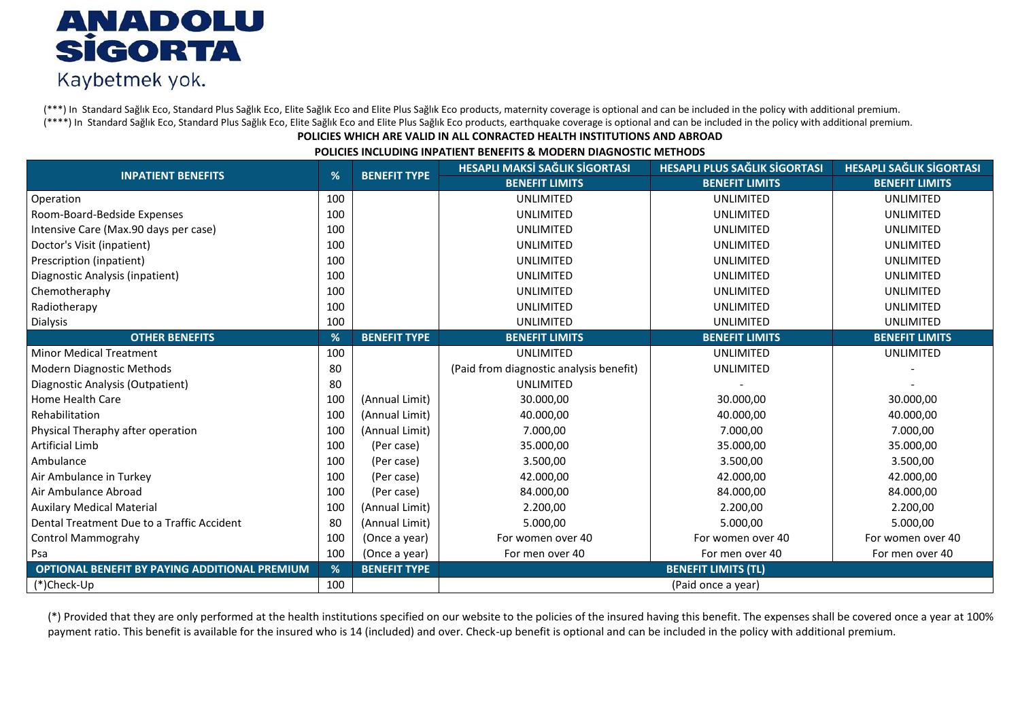(\*\*\*) In Standard Sağlık Eco, Standard Plus Sağlık Eco, Elite Sağlık Eco and Elite Plus Sağlık Eco products, maternity coverage is optional and can be included in the policy with additional premium. (\*\*\*\*) In Standard Sağlık Eco, Standard Plus Sağlık Eco, Elite Sağlık Eco and Elite Plus Sağlık Eco products, earthquake coverage is optional and can be included in the policy with additional premium.

### **POLICIES WHICH ARE VALID IN ALL CONRACTED HEALTH INSTITUTIONS AND ABROAD**

**POLICIES INCLUDING INPATIENT BENEFITS & MODERN DIAGNOSTIC METHODS** 

| <b>INPATIENT BENEFITS</b>                     |     | <b>BENEFIT TYPE</b> | HESAPLI MAKSİ SAĞLIK SİGORTASI          | HESAPLI PLUS SAĞLIK SİGORTASI | <b>HESAPLI SAĞLIK SİGORTASI</b> |  |
|-----------------------------------------------|-----|---------------------|-----------------------------------------|-------------------------------|---------------------------------|--|
|                                               | %   |                     | <b>BENEFIT LIMITS</b>                   | <b>BENEFIT LIMITS</b>         | <b>BENEFIT LIMITS</b>           |  |
| Operation                                     | 100 |                     | <b>UNLIMITED</b>                        | <b>UNLIMITED</b>              | <b>UNLIMITED</b>                |  |
| Room-Board-Bedside Expenses                   | 100 |                     | UNLIMITED                               | <b>UNLIMITED</b>              | <b>UNLIMITED</b>                |  |
| Intensive Care (Max.90 days per case)         | 100 |                     | UNLIMITED                               | <b>UNLIMITED</b>              | <b>UNLIMITED</b>                |  |
| Doctor's Visit (inpatient)                    | 100 |                     | UNLIMITED                               | <b>UNLIMITED</b>              | UNLIMITED                       |  |
| Prescription (inpatient)                      | 100 |                     | <b>UNLIMITED</b>                        | <b>UNLIMITED</b>              | <b>UNLIMITED</b>                |  |
| Diagnostic Analysis (inpatient)               | 100 |                     | <b>UNLIMITED</b>                        | <b>UNLIMITED</b>              | UNLIMITED                       |  |
| Chemotheraphy                                 | 100 |                     | <b>UNLIMITED</b>                        | <b>UNLIMITED</b>              | <b>UNLIMITED</b>                |  |
| Radiotherapy                                  | 100 |                     | UNLIMITED                               | <b>UNLIMITED</b>              | UNLIMITED                       |  |
| Dialysis                                      | 100 |                     | UNLIMITED                               | <b>UNLIMITED</b>              | <b>UNLIMITED</b>                |  |
| <b>OTHER BENEFITS</b>                         | %   | <b>BENEFIT TYPE</b> | <b>BENEFIT LIMITS</b>                   | <b>BENEFIT LIMITS</b>         | <b>BENEFIT LIMITS</b>           |  |
| <b>Minor Medical Treatment</b>                | 100 |                     | UNLIMITED                               | <b>UNLIMITED</b>              | <b>UNLIMITED</b>                |  |
| <b>Modern Diagnostic Methods</b>              | 80  |                     | (Paid from diagnostic analysis benefit) | <b>UNLIMITED</b>              |                                 |  |
| Diagnostic Analysis (Outpatient)              | 80  |                     | <b>UNLIMITED</b>                        |                               |                                 |  |
| <b>Home Health Care</b>                       | 100 | (Annual Limit)      | 30.000,00                               | 30.000,00                     | 30.000,00                       |  |
| Rehabilitation                                | 100 | (Annual Limit)      | 40.000,00                               | 40.000,00                     | 40.000,00                       |  |
| Physical Theraphy after operation             | 100 | (Annual Limit)      | 7.000,00                                | 7.000,00                      | 7.000,00                        |  |
| Artificial Limb                               | 100 | (Per case)          | 35.000,00                               | 35.000,00                     | 35.000,00                       |  |
| Ambulance                                     | 100 | (Per case)          | 3.500,00                                | 3.500,00                      | 3.500,00                        |  |
| Air Ambulance in Turkey                       | 100 | (Per case)          | 42.000,00                               | 42.000,00                     | 42.000,00                       |  |
| Air Ambulance Abroad                          | 100 | (Per case)          | 84.000,00                               | 84.000,00                     | 84.000,00                       |  |
| <b>Auxilary Medical Material</b>              | 100 | (Annual Limit)      | 2.200,00                                | 2.200,00                      | 2.200,00                        |  |
| Dental Treatment Due to a Traffic Accident    | 80  | (Annual Limit)      | 5.000,00                                | 5.000,00                      | 5.000,00                        |  |
| <b>Control Mammograhy</b>                     | 100 | (Once a year)       | For women over 40                       | For women over 40             | For women over 40               |  |
| Psa                                           | 100 | (Once a year)       | For men over 40                         | For men over 40               | For men over 40                 |  |
| OPTIONAL BENEFIT BY PAYING ADDITIONAL PREMIUM | %   | <b>BENEFIT TYPE</b> | <b>BENEFIT LIMITS (TL)</b>              |                               |                                 |  |
| (*)Check-Up                                   | 100 |                     | (Paid once a year)                      |                               |                                 |  |

(\*) Provided that they are only performed at the health institutions specified on our website to the policies of the insured having this benefit. The expenses shall be covered once a year at 100% payment ratio. This benefit is available for the insured who is 14 (included) and over. Check-up benefit is optional and can be included in the policy with additional premium.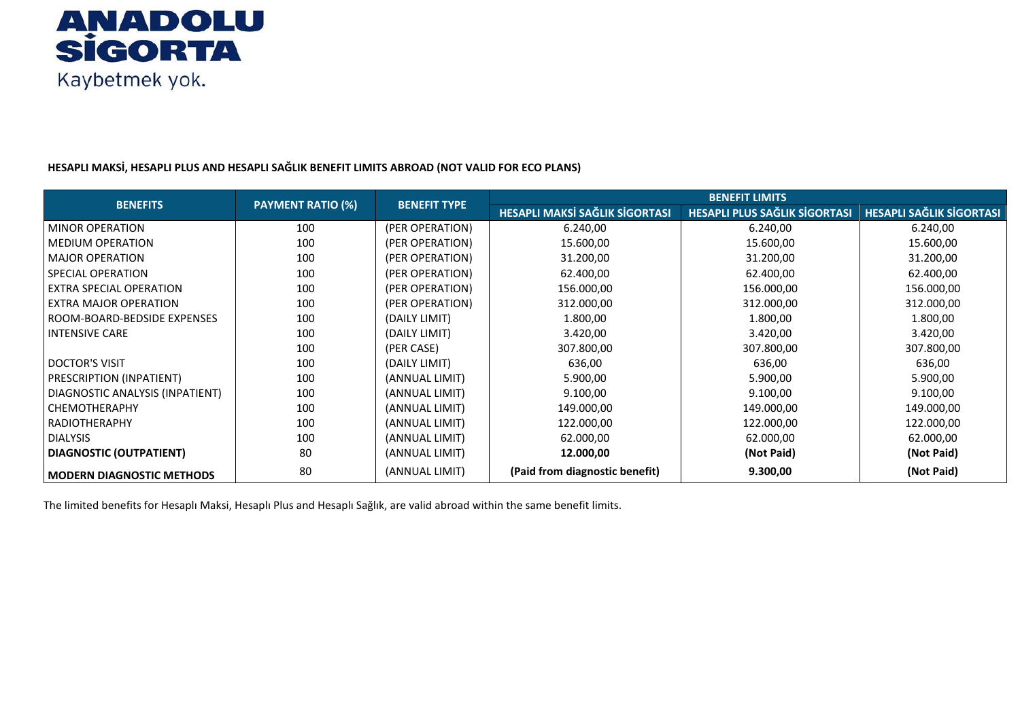

### **HESAPLI MAKSİ, HESAPLI PLUS AND HESAPLI SAĞLIK BENEFIT LIMITS ABROAD (NOT VALID FOR ECO PLANS)**

|                                  |                          |                     | <b>BENEFIT LIMITS</b>          |                               |                                 |  |
|----------------------------------|--------------------------|---------------------|--------------------------------|-------------------------------|---------------------------------|--|
| <b>BENEFITS</b>                  | <b>PAYMENT RATIO (%)</b> | <b>BENEFIT TYPE</b> | HESAPLI MAKSİ SAĞLIK SİGORTASI | HESAPLI PLUS SAĞLIK SİGORTASI | <b>HESAPLI SAĞLIK SİGORTASI</b> |  |
| <b>MINOR OPERATION</b>           | 100                      | (PER OPERATION)     | 6.240,00                       | 6.240,00                      | 6.240,00                        |  |
| <b>MEDIUM OPERATION</b>          | 100                      | (PER OPERATION)     | 15.600,00                      | 15.600,00                     | 15.600,00                       |  |
| <b>MAJOR OPERATION</b>           | 100                      | (PER OPERATION)     | 31.200,00                      | 31.200,00                     | 31.200,00                       |  |
| SPECIAL OPERATION                | 100                      | (PER OPERATION)     | 62.400,00                      | 62.400,00                     | 62.400,00                       |  |
| EXTRA SPECIAL OPERATION          | 100                      | (PER OPERATION)     | 156.000,00                     | 156.000,00                    | 156.000,00                      |  |
| EXTRA MAJOR OPERATION            | 100                      | (PER OPERATION)     | 312.000,00                     | 312.000,00                    | 312.000,00                      |  |
| ROOM-BOARD-BEDSIDE EXPENSES      | 100                      | (DAILY LIMIT)       | 1.800,00                       | 1.800,00                      | 1.800,00                        |  |
| <b>INTENSIVE CARE</b>            | 100                      | (DAILY LIMIT)       | 3.420,00                       | 3.420,00                      | 3.420,00                        |  |
|                                  | 100                      | (PER CASE)          | 307.800,00                     | 307.800,00                    | 307.800,00                      |  |
| <b>DOCTOR'S VISIT</b>            | 100                      | (DAILY LIMIT)       | 636,00                         | 636,00                        | 636,00                          |  |
| PRESCRIPTION (INPATIENT)         | 100                      | (ANNUAL LIMIT)      | 5.900,00                       | 5.900,00                      | 5.900,00                        |  |
| DIAGNOSTIC ANALYSIS (INPATIENT)  | 100                      | (ANNUAL LIMIT)      | 9.100,00                       | 9.100,00                      | 9.100,00                        |  |
| <b>CHEMOTHERAPHY</b>             | 100                      | (ANNUAL LIMIT)      | 149.000,00                     | 149.000,00                    | 149.000,00                      |  |
| RADIOTHERAPHY                    | 100                      | (ANNUAL LIMIT)      | 122.000,00                     | 122.000,00                    | 122.000,00                      |  |
| <b>DIALYSIS</b>                  | 100                      | (ANNUAL LIMIT)      | 62.000,00                      | 62.000,00                     | 62.000,00                       |  |
| <b>DIAGNOSTIC (OUTPATIENT)</b>   | 80                       | (ANNUAL LIMIT)      | 12.000,00                      | (Not Paid)                    | (Not Paid)                      |  |
| <b>MODERN DIAGNOSTIC METHODS</b> | 80                       | (ANNUAL LIMIT)      | (Paid from diagnostic benefit) | 9.300,00                      | (Not Paid)                      |  |

The limited benefits for Hesaplı Maksi, Hesaplı Plus and Hesaplı Sağlık, are valid abroad within the same benefit limits.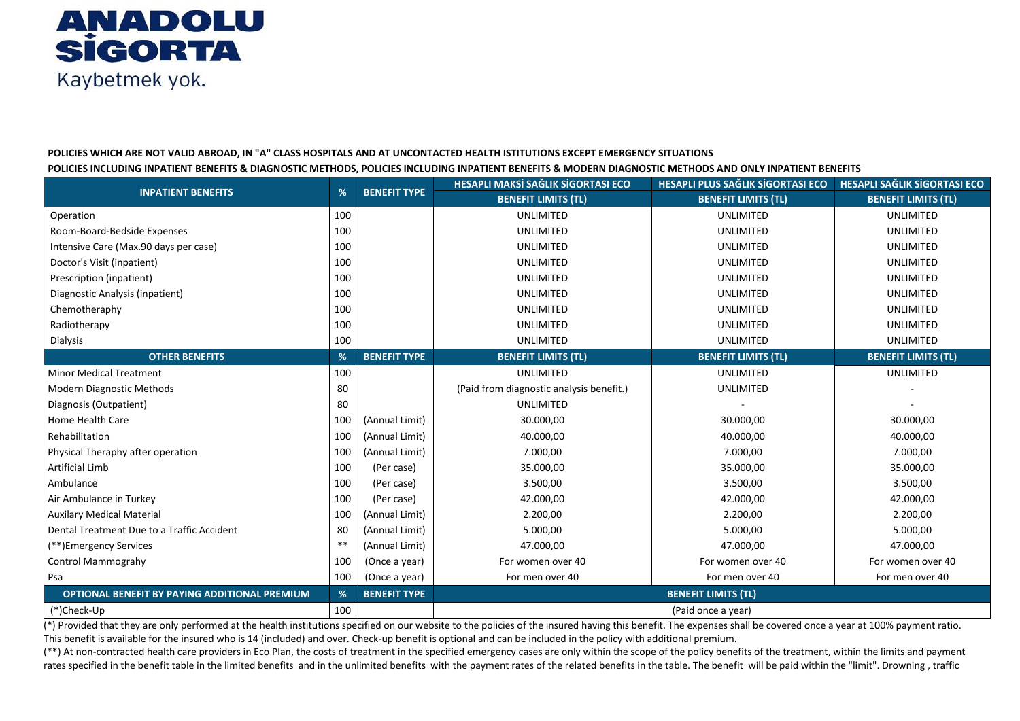#### **POLICIES WHICH ARE NOT VALID ABROAD, IN "A" CLASS HOSPITALS AND AT UNCONTACTED HEALTH ISTITUTIONS EXCEPT EMERGENCY SITUATIONS**

**POLICIES INCLUDING INPATIENT BENEFITS & DIAGNOSTIC METHODS, POLICIES INCLUDING INPATIENT BENEFITS & MODERN DIAGNOSTIC METHODS AND ONLY INPATIENT BENEFITS**

|                                                      |      |                     | HESAPLI MAKSİ SAĞLIK SİGORTASI ECO       | HESAPLI PLUS SAĞLIK SİGORTASI ECO | <b>HESAPLI SAĞLIK SİGORTASI ECO</b> |
|------------------------------------------------------|------|---------------------|------------------------------------------|-----------------------------------|-------------------------------------|
| <b>INPATIENT BENEFITS</b>                            | %    | <b>BENEFIT TYPE</b> | <b>BENEFIT LIMITS (TL)</b>               | <b>BENEFIT LIMITS (TL)</b>        | <b>BENEFIT LIMITS (TL)</b>          |
| Operation                                            | 100  |                     | <b>UNLIMITED</b>                         | <b>UNLIMITED</b>                  | <b>UNLIMITED</b>                    |
| Room-Board-Bedside Expenses                          | 100  |                     | <b>UNLIMITED</b>                         | <b>UNLIMITED</b>                  | <b>UNLIMITED</b>                    |
| Intensive Care (Max.90 days per case)                | 100  |                     | <b>UNLIMITED</b>                         | <b>UNLIMITED</b>                  | <b>UNLIMITED</b>                    |
| Doctor's Visit (inpatient)                           | 100  |                     | <b>UNLIMITED</b>                         | <b>UNLIMITED</b>                  | <b>UNLIMITED</b>                    |
| Prescription (inpatient)                             | 100  |                     | <b>UNLIMITED</b>                         | <b>UNLIMITED</b>                  | <b>UNLIMITED</b>                    |
| Diagnostic Analysis (inpatient)                      | 100  |                     | <b>UNLIMITED</b>                         | <b>UNLIMITED</b>                  | <b>UNLIMITED</b>                    |
| Chemotheraphy                                        | 100  |                     | <b>UNLIMITED</b>                         | <b>UNLIMITED</b>                  | <b>UNLIMITED</b>                    |
| Radiotherapy                                         | 100  |                     | <b>UNLIMITED</b>                         | <b>UNLIMITED</b>                  | <b>UNLIMITED</b>                    |
| Dialysis                                             | 100  |                     | <b>UNLIMITED</b>                         | <b>UNLIMITED</b>                  | <b>UNLIMITED</b>                    |
| <b>OTHER BENEFITS</b>                                | %    | <b>BENEFIT TYPE</b> | <b>BENEFIT LIMITS (TL)</b>               | <b>BENEFIT LIMITS (TL)</b>        | <b>BENEFIT LIMITS (TL)</b>          |
| <b>Minor Medical Treatment</b>                       | 100  |                     | <b>UNLIMITED</b>                         | <b>UNLIMITED</b>                  | <b>UNLIMITED</b>                    |
| Modern Diagnostic Methods                            | 80   |                     | (Paid from diagnostic analysis benefit.) | <b>UNLIMITED</b>                  |                                     |
| Diagnosis (Outpatient)                               | 80   |                     | <b>UNLIMITED</b>                         |                                   |                                     |
| Home Health Care                                     | 100  | (Annual Limit)      | 30.000,00                                | 30.000,00                         | 30.000,00                           |
| Rehabilitation                                       | 100  | (Annual Limit)      | 40.000,00                                | 40.000,00                         | 40.000,00                           |
| Physical Theraphy after operation                    | 100  | (Annual Limit)      | 7.000,00                                 | 7.000,00                          | 7.000,00                            |
| <b>Artificial Limb</b>                               | 100  | (Per case)          | 35.000,00                                | 35.000,00                         | 35.000,00                           |
| Ambulance                                            | 100  | (Per case)          | 3.500,00                                 | 3.500,00                          | 3.500,00                            |
| Air Ambulance in Turkey                              | 100  | (Per case)          | 42.000,00                                | 42.000,00                         | 42.000,00                           |
| <b>Auxilary Medical Material</b>                     | 100  | (Annual Limit)      | 2.200,00                                 | 2.200,00                          | 2.200,00                            |
| Dental Treatment Due to a Traffic Accident           | 80   | (Annual Limit)      | 5.000,00                                 | 5.000,00                          | 5.000,00                            |
| (**)Emergency Services                               | $**$ | (Annual Limit)      | 47.000,00                                | 47.000,00                         | 47.000,00                           |
| <b>Control Mammograhy</b>                            | 100  | (Once a year)       | For women over 40                        | For women over 40                 | For women over 40                   |
| Psa                                                  | 100  | (Once a year)       | For men over 40                          | For men over 40                   | For men over 40                     |
| <b>OPTIONAL BENEFIT BY PAYING ADDITIONAL PREMIUM</b> | %    | <b>BENEFIT TYPE</b> |                                          | <b>BENEFIT LIMITS (TL)</b>        |                                     |
| (*)Check-Up                                          | 100  |                     |                                          | (Paid once a year)                |                                     |

 $(*)$  Provided that they are only performed at the health institutions specified on our website to the policies of the insured having this benefit. The expenses shall be covered once a year at 100% payment ratio. This benefit is available for the insured who is 14 (included) and over. Check-up benefit is optional and can be included in the policy with additional premium.

(\*\*) At non-contracted health care providers in Eco Plan, the costs of treatment in the specified emergency cases are only within the scope of the policy benefits of the treatment, within the limits and payment rates specified in the benefit table in the limited benefits and in the unlimited benefits with the payment rates of the related benefits in the table. The benefit will be paid within the "limit". Drowning, traffic